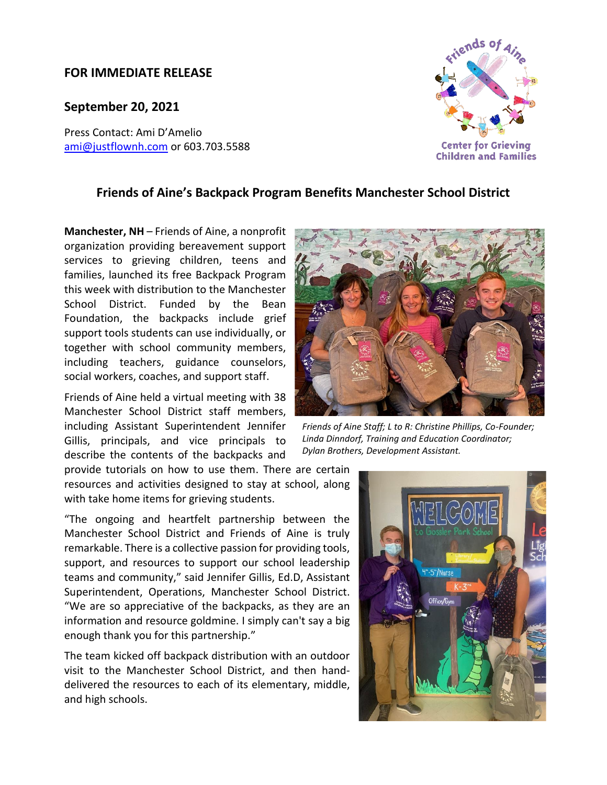## **FOR IMMEDIATE RELEASE**

## **September 20, 2021**

Press Contact: Ami D'Amelio [ami@justflownh.com](mailto:ami@justflownh.com)</u> or 603.703.5588



## **Friends of Aine's Backpack Program Benefits Manchester School District**

**Manchester, NH** – Friends of Aine, a nonprofit organization providing bereavement support services to grieving children, teens and families, launched its free Backpack Program this week with distribution to the Manchester School District. Funded by the Bean Foundation, the backpacks include grief support tools students can use individually, or together with school community members, including teachers, guidance counselors, social workers, coaches, and support staff.

Friends of Aine held a virtual meeting with 38 Manchester School District staff members, including Assistant Superintendent Jennifer Gillis, principals, and vice principals to describe the contents of the backpacks and

provide tutorials on how to use them. There are certain resources and activities designed to stay at school, along with take home items for grieving students.

"The ongoing and heartfelt partnership between the Manchester School District and Friends of Aine is truly remarkable. There is a collective passion for providing tools, support, and resources to support our school leadership teams and community," said Jennifer Gillis, Ed.D, Assistant Superintendent, Operations, Manchester School District. "We are so appreciative of the backpacks, as they are an information and resource goldmine. I simply can't say a big enough thank you for this partnership."

The team kicked off backpack distribution with an outdoor visit to the Manchester School District, and then handdelivered the resources to each of its elementary, middle, and high schools.



*Friends of Aine Staff; L to R: Christine Phillips, Co-Founder; Linda Dinndorf, Training and Education Coordinator; Dylan Brothers, Development Assistant.*